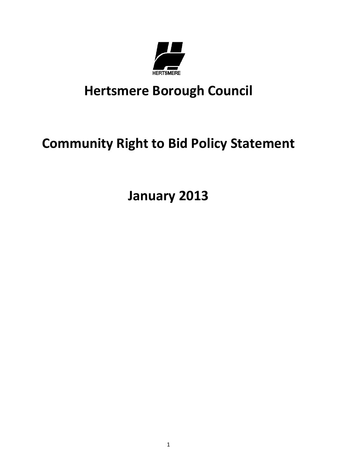

# **Hertsmere Borough Council**

# **Community Right to Bid Policy Statement**

**January 2013**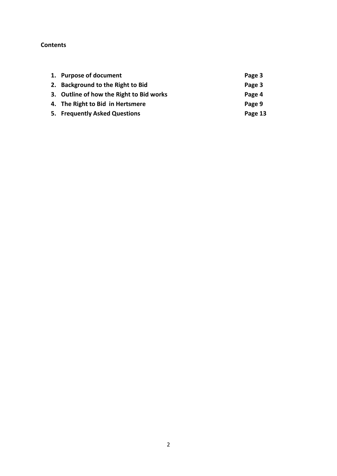#### **Contents**

| 1. Purpose of document                   | Page 3  |
|------------------------------------------|---------|
| 2. Background to the Right to Bid        | Page 3  |
| 3. Outline of how the Right to Bid works | Page 4  |
| 4. The Right to Bid in Hertsmere         | Page 9  |
| 5. Frequently Asked Questions            | Page 13 |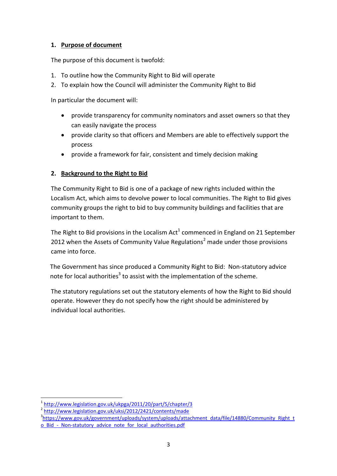## **1. Purpose of document**

The purpose of this document is twofold:

- 1. To outline how the Community Right to Bid will operate
- 2. To explain how the Council will administer the Community Right to Bid

In particular the document will:

- provide transparency for community nominators and asset owners so that they can easily navigate the process
- provide clarity so that officers and Members are able to effectively support the process
- provide a framework for fair, consistent and timely decision making

## **2. Background to the Right to Bid**

The Community Right to Bid is one of a package of new rights included within the Localism Act, which aims to devolve power to local communities. The Right to Bid gives community groups the right to bid to buy community buildings and facilities that are important to them.

The Right to Bid provisions in the Localism Act<sup>1</sup> commenced in England on 21 September 2012 when the Assets of Community Value Regulations<sup>2</sup> made under those provisions came into force.

The Government has since produced a Community Right to Bid: Non-statutory advice note for local authorities<sup>3</sup> to assist with the implementation of the scheme.

The statutory regulations set out the statutory elements of how the Right to Bid should operate. However they do not specify how the right should be administered by individual local authorities.

 $\overline{\phantom{a}}$ 

<sup>&</sup>lt;sup>1</sup><http://www.legislation.gov.uk/ukpga/2011/20/part/5/chapter/3>

<sup>&</sup>lt;sup>2</sup> <http://www.legislation.gov.uk/uksi/2012/2421/contents/made>

<sup>&</sup>lt;sup>3</sup>[https://www.gov.uk/government/uploads/system/uploads/attachment\\_data/file/14880/Community\\_Right\\_t](https://www.gov.uk/government/uploads/system/uploads/attachment_data/file/14880/Community_Right_to_Bid_-_Non-statutory_advice_note_for_local_authorities.pdf) [o\\_Bid\\_-\\_Non-statutory\\_advice\\_note\\_for\\_local\\_authorities.pdf](https://www.gov.uk/government/uploads/system/uploads/attachment_data/file/14880/Community_Right_to_Bid_-_Non-statutory_advice_note_for_local_authorities.pdf)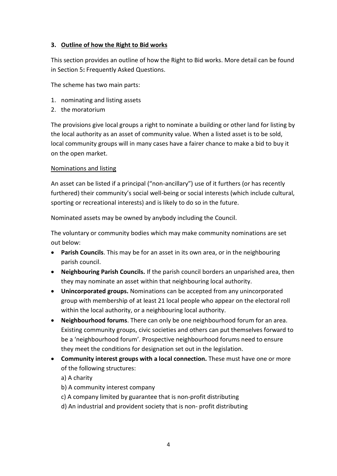## **3. Outline of how the Right to Bid works**

This section provides an outline of how the Right to Bid works. More detail can be found in Section 5**:** Frequently Asked Questions.

The scheme has two main parts:

- 1. nominating and listing assets
- 2. the moratorium

The provisions give local groups a right to nominate a building or other land for listing by the local authority as an asset of community value. When a listed asset is to be sold, local community groups will in many cases have a fairer chance to make a bid to buy it on the open market.

### Nominations and listing

An asset can be listed if a principal ("non-ancillary") use of it furthers (or has recently furthered) their community's social well-being or social interests (which include cultural, sporting or recreational interests) and is likely to do so in the future.

Nominated assets may be owned by anybody including the Council.

The voluntary or community bodies which may make community nominations are set out below:

- **Parish Councils**. This may be for an asset in its own area, or in the neighbouring parish council.
- **Neighbouring Parish Councils.** If the parish council borders an unparished area, then they may nominate an asset within that neighbouring local authority.
- **Unincorporated groups.** Nominations can be accepted from any unincorporated group with membership of at least 21 local people who appear on the electoral roll within the local authority, or a neighbouring local authority.
- **Neighbourhood forums**. There can only be one neighbourhood forum for an area. Existing community groups, civic societies and others can put themselves forward to be a 'neighbourhood forum'. Prospective neighbourhood forums need to ensure they meet the conditions for designation set out in the legislation.
- **Community interest groups with a local connection.** These must have one or more of the following structures:

a) A charity

- b) A community interest company
- c) A company limited by guarantee that is non-profit distributing
- d) An industrial and provident society that is non- profit distributing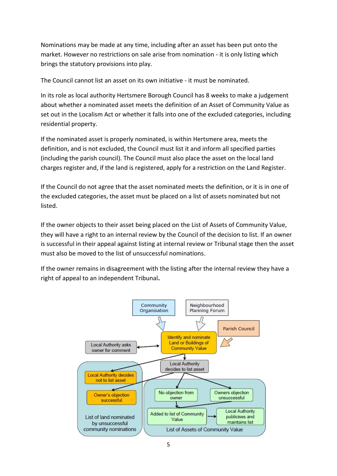Nominations may be made at any time, including after an asset has been put onto the market. However no restrictions on sale arise from nomination - it is only listing which brings the statutory provisions into play.

The Council cannot list an asset on its own initiative - it must be nominated.

In its role as local authority Hertsmere Borough Council has 8 weeks to make a judgement about whether a nominated asset meets the definition of an Asset of Community Value as set out in the Localism Act or whether it falls into one of the excluded categories, including residential property.

If the nominated asset is properly nominated, is within Hertsmere area, meets the definition, and is not excluded, the Council must list it and inform all specified parties (including the parish council). The Council must also place the asset on the local land charges register and, if the land is registered, apply for a restriction on the Land Register.

If the Council do not agree that the asset nominated meets the definition, or it is in one of the excluded categories, the asset must be placed on a list of assets nominated but not listed.

If the owner objects to their asset being placed on the List of Assets of Community Value, they will have a right to an internal review by the Council of the decision to list. If an owner is successful in their appeal against listing at internal review or Tribunal stage then the asset must also be moved to the list of unsuccessful nominations.

If the owner remains in disagreement with the listing after the internal review they have a right of appeal to an independent Tribunal**.** 

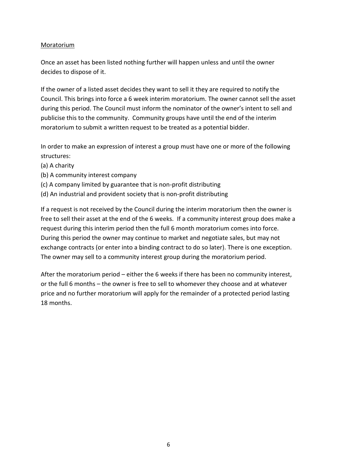## Moratorium

Once an asset has been listed nothing further will happen unless and until the owner decides to dispose of it.

If the owner of a listed asset decides they want to sell it they are required to notify the Council. This brings into force a 6 week interim moratorium. The owner cannot sell the asset during this period. The Council must inform the nominator of the owner's intent to sell and publicise this to the community. Community groups have until the end of the interim moratorium to submit a written request to be treated as a potential bidder.

In order to make an expression of interest a group must have one or more of the following structures:

- (a) A charity
- (b) A community interest company
- (c) A company limited by guarantee that is non-profit distributing
- (d) An industrial and provident society that is non-profit distributing

If a request is not received by the Council during the interim moratorium then the owner is free to sell their asset at the end of the 6 weeks. If a community interest group does make a request during this interim period then the full 6 month moratorium comes into force. During this period the owner may continue to market and negotiate sales, but may not exchange contracts (or enter into a binding contract to do so later). There is one exception. The owner may sell to a community interest group during the moratorium period.

After the moratorium period – either the 6 weeks if there has been no community interest, or the full 6 months – the owner is free to sell to whomever they choose and at whatever price and no further moratorium will apply for the remainder of a protected period lasting 18 months.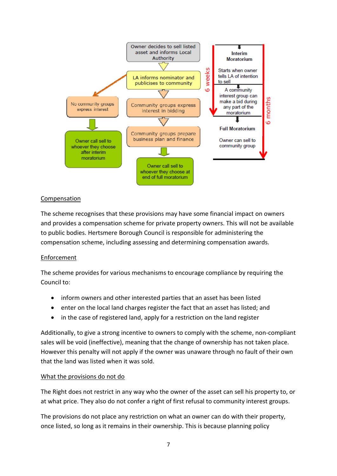

## Compensation

The scheme recognises that these provisions may have some financial impact on owners and provides a compensation scheme for private property owners. This will not be available to public bodies. Hertsmere Borough Council is responsible for administering the compensation scheme, including assessing and determining compensation awards.

#### Enforcement

The scheme provides for various mechanisms to encourage compliance by requiring the Council to:

- inform owners and other interested parties that an asset has been listed
- enter on the local land charges register the fact that an asset has listed; and
- in the case of registered land, apply for a restriction on the land register

Additionally, to give a strong incentive to owners to comply with the scheme, non-compliant sales will be void (ineffective), meaning that the change of ownership has not taken place. However this penalty will not apply if the owner was unaware through no fault of their own that the land was listed when it was sold.

#### What the provisions do not do

The Right does not restrict in any way who the owner of the asset can sell his property to, or at what price. They also do not confer a right of first refusal to community interest groups.

The provisions do not place any restriction on what an owner can do with their property, once listed, so long as it remains in their ownership. This is because planning policy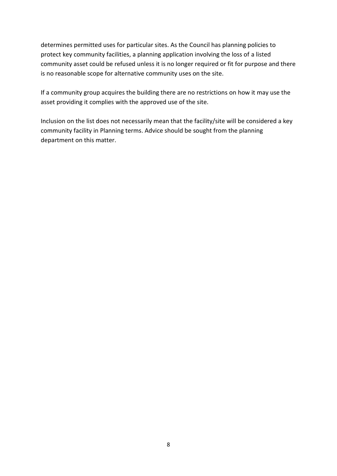determines permitted uses for particular sites. As the Council has planning policies to protect key community facilities, a planning application involving the loss of a listed community asset could be refused unless it is no longer required or fit for purpose and there is no reasonable scope for alternative community uses on the site.

If a community group acquires the building there are no restrictions on how it may use the asset providing it complies with the approved use of the site.

Inclusion on the list does not necessarily mean that the facility/site will be considered a key community facility in Planning terms. Advice should be sought from the planning department on this matter.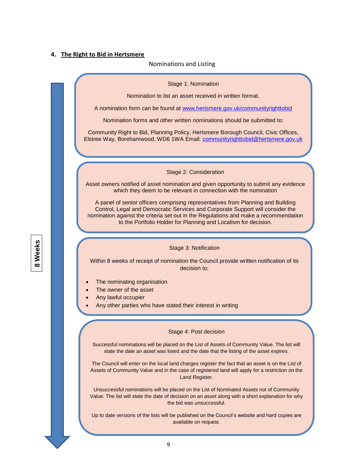#### **4. The Right to Bid in Hertsmere**

#### Nominations and Listing

Stage 1: Nomination

Nomination to list an asset received in written format.

A nomination form can be found at [www.hertsmere.gov.uk/communityrighttobid](http://www.hertsmere.gov.uk/communityrighttobid)

Nomination forms and other written nominations should be submitted to:

Community Right to Bid, Planning Policy, Hertsmere Borough Council, Civic Offices, Elstree Way, Borehamwood, WD6 1WA Email: [communityrighttobid@hertsmere.gov.uk](mailto:communityrighttobid@hertsmere.gov.uk)

#### Stage 2: Consideration

Asset owners notified of asset nomination and given opportunity to submit any evidence which they deem to be relevant in connection with the nomination

A panel of senior officers comprising representatives from Planning and Building Control, Legal and Democratic Services and Corporate Support will consider the nomination against the criteria set out in the Regulations and make a recommendation to the Portfolio Holder for Planning and Localism for decision.

#### Stage 3: Notification

Within 8 weeks of receipt of nomination the Council provide written notification of its decision to:

- The nominating organisation
- The owner of the asset
- Any lawful occupier
- Any other parties who have stated their interest in writing

#### Stage 4: Post decision

Successful nominations will be placed on the List of Assets of Community Value. The list will state the date an asset was listed and the date that the listing of the asset expires.

The Council will enter on the local land charges register the fact that an asset is on the List of Assets of Community Value and in the case of registered land will apply for a restriction on the Land Register.

Unsuccessful nominations will be placed on the List of Nominated Assets not of Community Value. The list will state the date of decision on an asset along with a short explanation for why the bid was unsuccessful.

Up to date versions of the lists will be published on the Council's website and hard copies are available on request.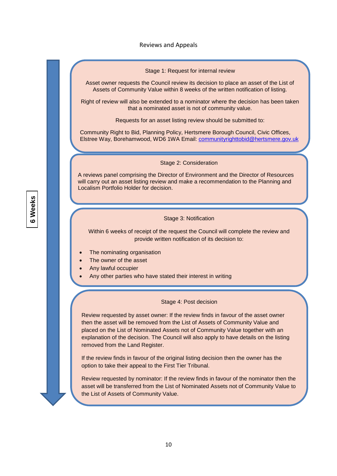Reviews and Appeals

Stage 1: Request for internal review

Asset owner requests the Council review its decision to place an asset of the List of Assets of Community Value within 8 weeks of the written notification of listing.

Right of review will also be extended to a nominator where the decision has been taken that a nominated asset is not of community value.

Requests for an asset listing review should be submitted to:

Community Right to Bid, Planning Policy, Hertsmere Borough Council, Civic Offices, Elstree Way, Borehamwood, WD6 1WA Email: [communityrighttobid@hertsmere.gov.uk](mailto:communityrighttobid@hertsmere.gov.uk)

Stage 2: Consideration

A reviews panel comprising the Director of Environment and the Director of Resources will carry out an asset listing review and make a recommendation to the Planning and Localism Portfolio Holder for decision.

#### Stage 3: Notification

Within 6 weeks of receipt of the request the Council will complete the review and provide written notification of its decision to:

- The nominating organisation
- The owner of the asset
- Any lawful occupier
- Any other parties who have stated their interest in writing

#### Stage 4: Post decision

Review requested by asset owner: If the review finds in favour of the asset owner then the asset will be removed from the List of Assets of Community Value and placed on the List of Nominated Assets not of Community Value together with an explanation of the decision. The Council will also apply to have details on the listing removed from the Land Register.

If the review finds in favour of the original listing decision then the owner has the option to take their appeal to the First Tier Tribunal.

Review requested by nominator: If the review finds in favour of the nominator then the asset will be transferred from the List of Nominated Assets not of Community Value to the List of Assets of Community Value.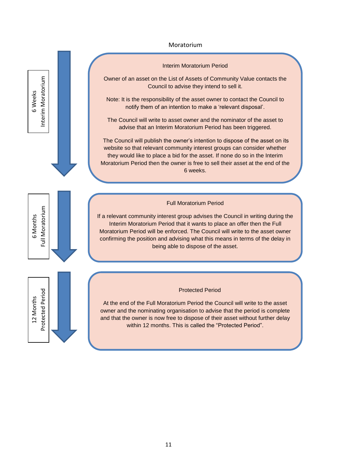#### Moratorium

6 Weeks

6 Months Full Moratorium

12 Months Protected Period Full Moratorium

Protected Period 12 Months

Interim Moratorium

nterim Moratorium



Owner of an asset on the List of Assets of Community Value contacts the Council to advise they intend to sell it.

Note: It is the responsibility of the asset owner to contact the Council to notify them of an intention to make a 'relevant disposal'.

The Council will write to asset owner and the nominator of the asset to advise that an Interim Moratorium Period has been triggered.

The Council will publish the owner's intention to dispose of the asset on its website so that relevant community interest groups can consider whether they would like to place a bid for the asset. If none do so in the Interim Moratorium Period then the owner is free to sell their asset at the end of the 6 weeks.

#### Full Moratorium Period

If a relevant community interest group advises the Council in writing during the Interim Moratorium Period that it wants to place an offer then the Full Moratorium Period will be enforced. The Council will write to the asset owner confirming the position and advising what this means in terms of the delay in being able to dispose of the asset.

#### Protected Period

At the end of the Full Moratorium Period the Council will write to the asset owner and the nominating organisation to advise that the period is complete and that the owner is now free to dispose of their asset without further delay within 12 months. This is called the "Protected Period".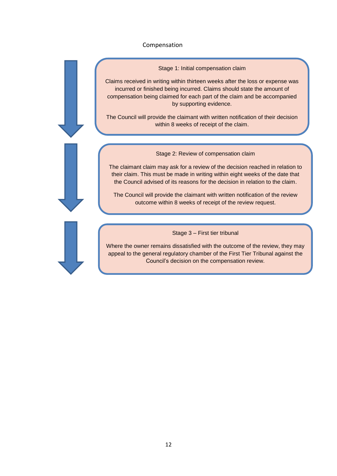#### Compensation



Claims received in writing within thirteen weeks after the loss or expense was incurred or finished being incurred. Claims should state the amount of compensation being claimed for each part of the claim and be accompanied by supporting evidence.

The Council will provide the claimant with written notification of their decision within 8 weeks of receipt of the claim.

Stage 2: Review of compensation claim

The claimant claim may ask for a review of the decision reached in relation to their claim. This must be made in writing within eight weeks of the date that the Council advised of its reasons for the decision in relation to the claim.

The Council will provide the claimant with written notification of the review outcome within 8 weeks of receipt of the review request.

#### Stage 3 – First tier tribunal

Where the owner remains dissatisfied with the outcome of the review, they may appeal to the general regulatory chamber of the First Tier Tribunal against the Council's decision on the compensation review.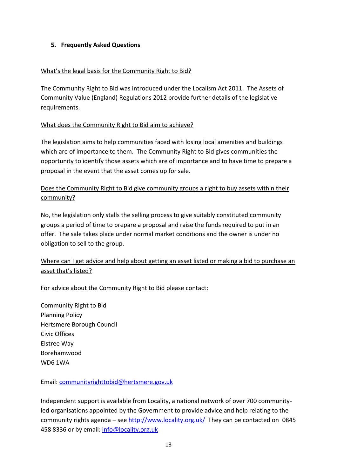## **5. Frequently Asked Questions**

## What's the legal basis for the Community Right to Bid?

The Community Right to Bid was introduced under the Localism Act 2011. The Assets of Community Value (England) Regulations 2012 provide further details of the legislative requirements.

## What does the Community Right to Bid aim to achieve?

The legislation aims to help communities faced with losing local amenities and buildings which are of importance to them. The Community Right to Bid gives communities the opportunity to identify those assets which are of importance and to have time to prepare a proposal in the event that the asset comes up for sale.

# Does the Community Right to Bid give community groups a right to buy assets within their community?

No, the legislation only stalls the selling process to give suitably constituted community groups a period of time to prepare a proposal and raise the funds required to put in an offer. The sale takes place under normal market conditions and the owner is under no obligation to sell to the group.

# Where can I get advice and help about getting an asset listed or making a bid to purchase an asset that's listed?

For advice about the Community Right to Bid please contact:

Community Right to Bid Planning Policy Hertsmere Borough Council Civic Offices Elstree Way Borehamwood WD6 1WA

## Email: [communityrighttobid@hertsmere.gov.uk](mailto:communityrighttobid@hertsmere.gov.uk)

Independent support is available from Locality, a national network of over 700 communityled organisations appointed by the Government to provide advice and help relating to the community rights agenda – see<http://www.locality.org.uk/> They can be contacted on 0845 458 8336 or by email: [info@locality.org.uk](mailto:info@locality.org.uk)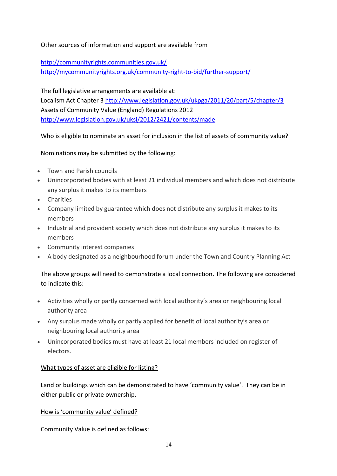Other sources of information and support are available from

<http://communityrights.communities.gov.uk/> <http://mycommunityrights.org.uk/community-right-to-bid/further-support/>

The full legislative arrangements are available at: Localism Act Chapter 3<http://www.legislation.gov.uk/ukpga/2011/20/part/5/chapter/3> Assets of Community Value (England) Regulations 2012 <http://www.legislation.gov.uk/uksi/2012/2421/contents/made>

## Who is eligible to nominate an asset for inclusion in the list of assets of community value?

Nominations may be submitted by the following:

- Town and Parish councils
- Unincorporated bodies with at least 21 individual members and which does not distribute any surplus it makes to its members
- Charities
- Company limited by guarantee which does not distribute any surplus it makes to its members
- Industrial and provident society which does not distribute any surplus it makes to its members
- Community interest companies
- A body designated as a neighbourhood forum under the Town and Country Planning Act

# The above groups will need to demonstrate a local connection. The following are considered to indicate this:

- Activities wholly or partly concerned with local authority's area or neighbouring local authority area
- Any surplus made wholly or partly applied for benefit of local authority's area or neighbouring local authority area
- Unincorporated bodies must have at least 21 local members included on register of electors.

## What types of asset are eligible for listing?

Land or buildings which can be demonstrated to have 'community value'. They can be in either public or private ownership.

## How is 'community value' defined?

Community Value is defined as follows: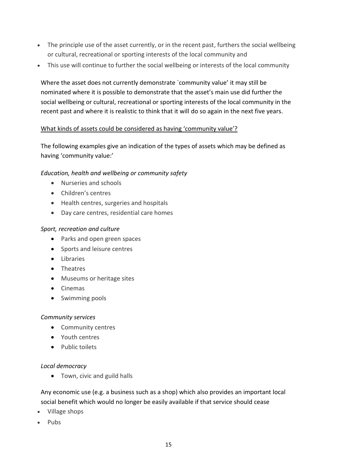- The principle use of the asset currently, or in the recent past, furthers the social wellbeing or cultural, recreational or sporting interests of the local community and
- This use will continue to further the social wellbeing or interests of the local community

Where the asset does not currently demonstrate `community value' it may still be nominated where it is possible to demonstrate that the asset's main use did further the social wellbeing or cultural, recreational or sporting interests of the local community in the recent past and where it is realistic to think that it will do so again in the next five years.

## What kinds of assets could be considered as having 'community value'?

The following examples give an indication of the types of assets which may be defined as having 'community value:'

## *Education, health and wellbeing or community safety*

- Nurseries and schools
- Children's centres
- Health centres, surgeries and hospitals
- Day care centres, residential care homes

#### *Sport, recreation and culture*

- Parks and open green spaces
- Sports and leisure centres
- **•** Libraries
- Theatres
- Museums or heritage sites
- Cinemas
- Swimming pools

#### *Community services*

- Community centres
- Youth centres
- Public toilets

#### *Local democracy*

• Town, civic and guild halls

Any economic use (e.g. a business such as a shop) which also provides an important local social benefit which would no longer be easily available if that service should cease

- Village shops
- Pubs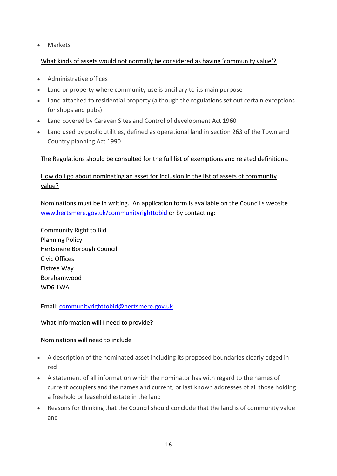Markets

## What kinds of assets would not normally be considered as having 'community value'?

- Administrative offices
- Land or property where community use is ancillary to its main purpose
- Land attached to residential property (although the regulations set out certain exceptions for shops and pubs)
- Land covered by Caravan Sites and Control of development Act 1960
- Land used by public utilities, defined as operational land in section 263 of the Town and Country planning Act 1990

The Regulations should be consulted for the full list of exemptions and related definitions.

# How do I go about nominating an asset for inclusion in the list of assets of community value?

Nominations must be in writing. An [application form](http://www.cornwall.gov.uk/idoc.ashx?docid=cc667feb-f0b2-49bc-93c5-8a9fbb25d950&version=-1) is available on the Council's website [www.hertsmere.gov.uk/communityrighttobid](http://www.hertsmere.gov.uk/communityrighttobid) or by contacting:

Community Right to Bid Planning Policy Hertsmere Borough Council Civic Offices Elstree Way Borehamwood WD6 1WA

Email: [communityrighttobid@hertsmere.gov.uk](mailto:communityrighttobid@hertsmere.gov.uk)

## What information will I need to provide?

## Nominations will need to include

- A description of the nominated asset including its proposed boundaries clearly edged in red
- A statement of all information which the nominator has with regard to the names of current occupiers and the names and current, or last known addresses of all those holding a freehold or leasehold estate in the land
- Reasons for thinking that the Council should conclude that the land is of community value and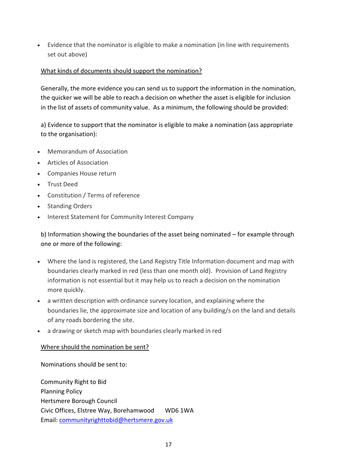Evidence that the nominator is eligible to make a nomination (in line with requirements set out above)

## What kinds of documents should support the nomination?

Generally, the more evidence you can send us to support the information in the nomination, the quicker we will be able to reach a decision on whether the asset is eligible for inclusion in the list of assets of community value. As a minimum, the following should be provided:

a) Evidence to support that the nominator is eligible to make a nomination (ass appropriate to the organisation):

- Memorandum of Association
- Articles of Association
- Companies House return
- Trust Deed
- Constitution / Terms of reference
- Standing Orders
- Interest Statement for Community Interest Company

b) Information showing the boundaries of the asset being nominated – for example through one or more of the following:

- Where the land is registered, the Land Registry Title Information document and map with boundaries clearly marked in red (less than one month old). Provision of Land Registry information is not essential but it may help us to reach a decision on the nomination more quickly.
- a written description with ordinance survey location, and explaining where the boundaries lie, the approximate size and location of any building/s on the land and details of any roads bordering the site.
- a drawing or sketch map with boundaries clearly marked in red

## Where should the nomination be sent?

Nominations should be sent to:

Community Right to Bid Planning Policy Hertsmere Borough Council Civic Offices, Elstree Way, Borehamwood WD6 1WA Email: [communityrighttobid@hertsmere.gov.uk](mailto:communityrighttobid@hertsmere.gov.uk)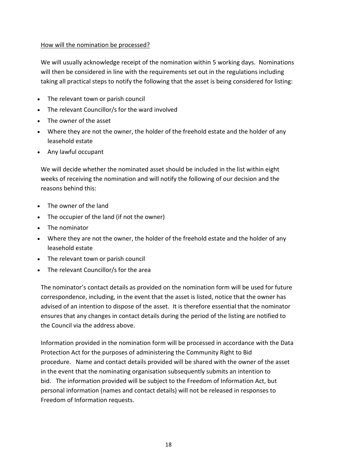## How will the nomination be processed?

We will usually acknowledge receipt of the nomination within 5 working days. Nominations will then be considered in line with the requirements set out in the regulations including taking all practical steps to notify the following that the asset is being considered for listing:

- The relevant town or parish council
- The relevant Councillor/s for the ward involved
- The owner of the asset
- Where they are not the owner, the holder of the freehold estate and the holder of any leasehold estate
- Any lawful occupant

We will decide whether the nominated asset should be included in the list within eight weeks of receiving the nomination and will notify the following of our decision and the reasons behind this:

- The owner of the land
- The occupier of the land (if not the owner)
- The nominator
- Where they are not the owner, the holder of the freehold estate and the holder of any leasehold estate
- The relevant town or parish council
- The relevant Councillor/s for the area

The nominator's contact details as provided on the nomination form will be used for future correspondence, including, in the event that the asset is listed, notice that the owner has advised of an intention to dispose of the asset. It is therefore essential that the nominator ensures that any changes in contact details during the period of the listing are notified to the Council via the address above.

Information provided in the nomination form will be processed in accordance with the Data Protection Act for the purposes of administering the Community Right to Bid procedure. Name and contact details provided will be shared with the owner of the asset in the event that the nominating organisation subsequently submits an intention to bid. The information provided will be subject to the Freedom of Information Act, but personal information (names and contact details) will not be released in responses to Freedom of Information requests.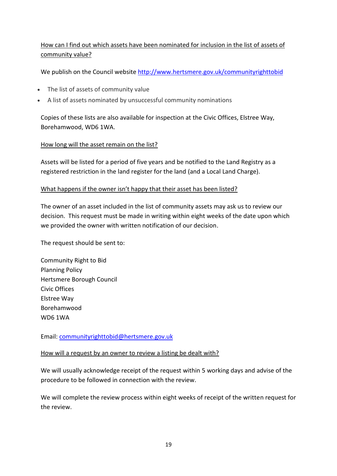# How can I find out which assets have been nominated for inclusion in the list of assets of community value?

We publish on the Council website<http://www.hertsmere.gov.uk/communityrighttobid>

- The list of assets of community value
- A list of assets nominated by unsuccessful community nominations

Copies of these lists are also available for inspection at the Civic Offices, Elstree Way, Borehamwood, WD6 1WA.

## How long will the asset remain on the list?

Assets will be listed for a period of five years and be notified to the Land Registry as a registered restriction in the land register for the land (and a Local Land Charge).

## What happens if the owner isn't happy that their asset has been listed?

The owner of an asset included in the list of community assets may ask us to review our decision. This request must be made in writing within eight weeks of the date upon which we provided the owner with written notification of our decision.

The request should be sent to:

Community Right to Bid Planning Policy Hertsmere Borough Council Civic Offices Elstree Way Borehamwood WD6 1WA

Email: [communityrighttobid@hertsmere.gov.uk](mailto:communityrighttobid@hertsmere.gov.uk)

## How will a request by an owner to review a listing be dealt with?

We will usually acknowledge receipt of the request within 5 working days and advise of the procedure to be followed in connection with the review.

We will complete the review process within eight weeks of receipt of the written request for the review.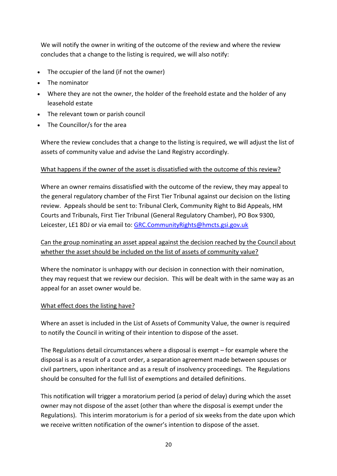We will notify the owner in writing of the outcome of the review and where the review concludes that a change to the listing is required, we will also notify:

- The occupier of the land (if not the owner)
- The nominator
- Where they are not the owner, the holder of the freehold estate and the holder of any leasehold estate
- The relevant town or parish council
- The Councillor/s for the area

Where the review concludes that a change to the listing is required, we will adjust the list of assets of community value and advise the Land Registry accordingly.

## What happens if the owner of the asset is dissatisfied with the outcome of this review?

Where an owner remains dissatisfied with the outcome of the review, they may appeal to the general regulatory chamber of the First Tier Tribunal against our decision on the listing review. Appeals should be sent to: Tribunal Clerk, Community Right to Bid Appeals, HM Courts and Tribunals, First Tier Tribunal (General Regulatory Chamber), PO Box 9300, Leicester, LE1 8DJ or via email to: [GRC.CommunityRights@hmcts.gsi.gov.uk](mailto:GRC.CommunityRights@hmcts.gsi.gov.uk)

# Can the group nominating an asset appeal against the decision reached by the Council about whether the asset should be included on the list of assets of community value?

Where the nominator is unhappy with our decision in connection with their nomination, they may request that we review our decision. This will be dealt with in the same way as an appeal for an asset owner would be.

## What effect does the listing have?

Where an asset is included in the List of Assets of Community Value, the owner is required to notify the Council in writing of their intention to dispose of the asset.

The Regulations detail circumstances where a disposal is exempt – for example where the disposal is as a result of a court order, a separation agreement made between spouses or civil partners, upon inheritance and as a result of insolvency proceedings. The Regulations should be consulted for the full list of exemptions and detailed definitions.

This notification will trigger a moratorium period (a period of delay) during which the asset owner may not dispose of the asset (other than where the disposal is exempt under the Regulations). This interim moratorium is for a period of six weeks from the date upon which we receive written notification of the owner's intention to dispose of the asset.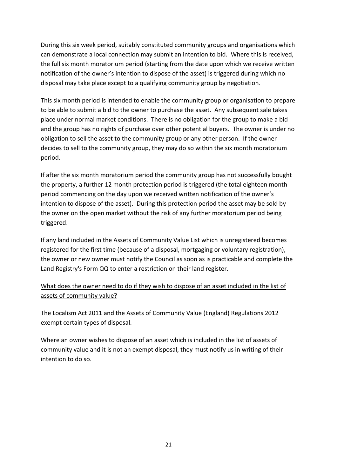During this six week period, suitably constituted community groups and organisations which can demonstrate a local connection may submit an intention to bid. Where this is received, the full six month moratorium period (starting from the date upon which we receive written notification of the owner's intention to dispose of the asset) is triggered during which no disposal may take place except to a qualifying community group by negotiation.

This six month period is intended to enable the community group or organisation to prepare to be able to submit a bid to the owner to purchase the asset. Any subsequent sale takes place under normal market conditions. There is no obligation for the group to make a bid and the group has no rights of purchase over other potential buyers. The owner is under no obligation to sell the asset to the community group or any other person. If the owner decides to sell to the community group, they may do so within the six month moratorium period.

If after the six month moratorium period the community group has not successfully bought the property, a further 12 month protection period is triggered (the total eighteen month period commencing on the day upon we received written notification of the owner's intention to dispose of the asset). During this protection period the asset may be sold by the owner on the open market without the risk of any further moratorium period being triggered.

If any land included in the Assets of Community Value List which is unregistered becomes registered for the first time (because of a disposal, mortgaging or voluntary registration), the owner or new owner must notify the Council as soon as is practicable and complete the Land Registry's Form QQ to enter a restriction on their land register.

What does the owner need to do if they wish to dispose of an asset included in the list of assets of community value?

The Localism Act 2011 and the Assets of Community Value (England) Regulations 2012 exempt certain types of disposal.

Where an owner wishes to dispose of an asset which is included in the list of assets of community value and it is not an exempt disposal, they must notify us in writing of their intention to do so.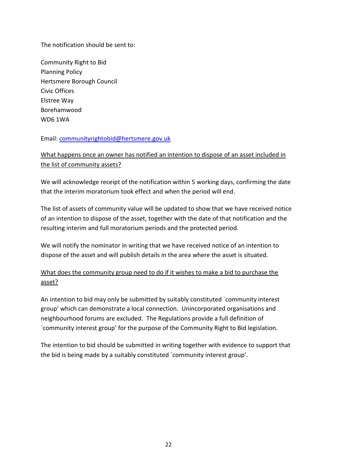The notification should be sent to:

Community Right to Bid Planning Policy Hertsmere Borough Council Civic Offices Elstree Way Borehamwood WD6 1WA

## Email: [communityrightobid@hertsmere.gov.uk](mailto:communityrightobid@hertsmere.gov.uk)

What happens once an owner has notified an intention to dispose of an asset included in the list of community assets?

We will acknowledge receipt of the notification within 5 working days, confirming the date that the interim moratorium took effect and when the period will end.

The list of assets of community value will be updated to show that we have received notice of an intention to dispose of the asset, together with the date of that notification and the resulting interim and full moratorium periods and the protected period.

We will notify the nominator in writing that we have received notice of an intention to dispose of the asset and will publish details in the area where the asset is situated.

# What does the community group need to do if it wishes to make a bid to purchase the asset?

An intention to bid may only be submitted by suitably constituted `community interest group' which can demonstrate a local connection. Unincorporated organisations and neighbourhood forums are excluded. The Regulations provide a full definition of `community interest group' for the purpose of the Community Right to Bid legislation.

The intention to bid should be submitted in writing together with evidence to support that the bid is being made by a suitably constituted `community interest group'.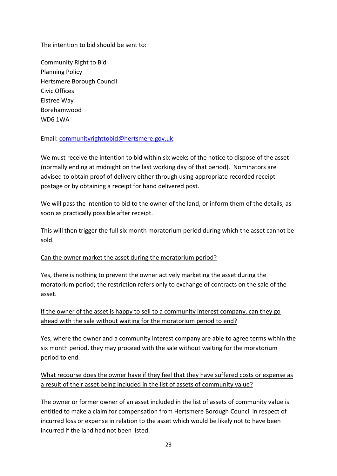The intention to bid should be sent to:

Community Right to Bid Planning Policy Hertsmere Borough Council Civic Offices Elstree Way Borehamwood WD6 1WA

## Email: [communityrighttobid@hertsmere.gov.uk](mailto:communityrighttobid@hertsmere.gov.uk)

We must receive the intention to bid within six weeks of the notice to dispose of the asset (normally ending at midnight on the last working day of that period). Nominators are advised to obtain proof of delivery either through using appropriate recorded receipt postage or by obtaining a receipt for hand delivered post.

We will pass the intention to bid to the owner of the land, or inform them of the details, as soon as practically possible after receipt.

This will then trigger the full six month moratorium period during which the asset cannot be sold.

## Can the owner market the asset during the moratorium period?

Yes, there is nothing to prevent the owner actively marketing the asset during the moratorium period; the restriction refers only to exchange of contracts on the sale of the asset.

If the owner of the asset is happy to sell to a community interest company, can they go ahead with the sale without waiting for the moratorium period to end?

Yes, where the owner and a community interest company are able to agree terms within the six month period, they may proceed with the sale without waiting for the moratorium period to end.

# What recourse does the owner have if they feel that they have suffered costs or expense as a result of their asset being included in the list of assets of community value?

The owner or former owner of an asset included in the list of assets of community value is entitled to make a claim for compensation from Hertsmere Borough Council in respect of incurred loss or expense in relation to the asset which would be likely not to have been incurred if the land had not been listed.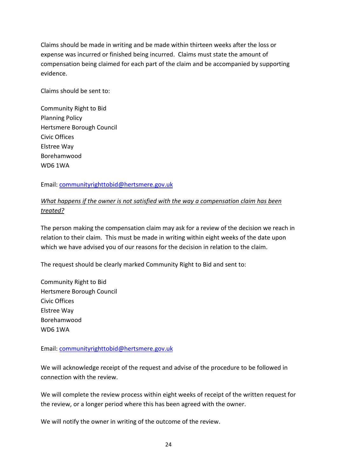Claims should be made in writing and be made within thirteen weeks after the loss or expense was incurred or finished being incurred. Claims must state the amount of compensation being claimed for each part of the claim and be accompanied by supporting evidence.

Claims should be sent to:

Community Right to Bid Planning Policy Hertsmere Borough Council Civic Offices Elstree Way Borehamwood WD6 1WA

Email: [communityrighttobid@hertsmere.gov.uk](mailto:communityrighttobid@hertsmere.gov.uk)

## *What happens if the owner is not satisfied with the way a compensation claim has been treated?*

The person making the compensation claim may ask for a review of the decision we reach in relation to their claim. This must be made in writing within eight weeks of the date upon which we have advised you of our reasons for the decision in relation to the claim.

The request should be clearly marked Community Right to Bid and sent to:

Community Right to Bid Hertsmere Borough Council Civic Offices Elstree Way Borehamwood WD6 1WA

Email: [communityrighttobid@hertsmere.gov.uk](mailto:communityrighttobid@hertsmere.gov.uk)

We will acknowledge receipt of the request and advise of the procedure to be followed in connection with the review.

We will complete the review process within eight weeks of receipt of the written request for the review, or a longer period where this has been agreed with the owner.

We will notify the owner in writing of the outcome of the review.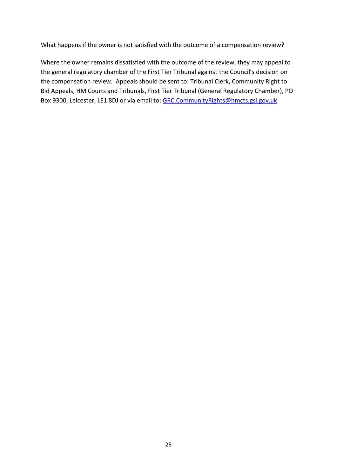## What happens if the owner is not satisfied with the outcome of a compensation review?

Where the owner remains dissatisfied with the outcome of the review, they may appeal to the general regulatory chamber of the First Tier Tribunal against the Council's decision on the compensation review. Appeals should be sent to: Tribunal Clerk, Community Right to Bid Appeals, HM Courts and Tribunals, First Tier Tribunal (General Regulatory Chamber), PO Box 9300, Leicester, LE1 8DJ or via email to: [GRC.CommunityRights@hmcts.gsi.gov.uk](mailto:GRC.CommunityRights@hmcts.gsi.gov.uk)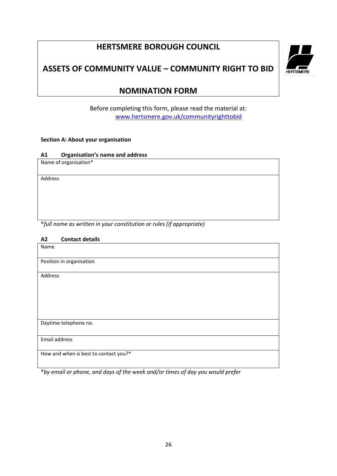# **HERTSMERE BOROUGH COUNCIL**



# **ASSETS OF COMMUNITY VALUE – COMMUNITY RIGHT TO BID**

# **NOMINATION FORM**

Before completing this form, please read the material at: [www.hertsmere.gov.uk/communityrighttobid](http://www.hertsmere.gov.uk/communityrighttobid)

#### **Section A: About your organisation**

### **A1 Organisation's name and address**

|  | Name of organisation* |
|--|-----------------------|
|--|-----------------------|

Address

\**full name as written in your constitution or rules (if appropriate)*

#### **A2 Contact details**

| Name                                  |
|---------------------------------------|
| Position in organisation              |
| Address                               |
| Daytime telephone no.                 |
| Email address                         |
| How and when is best to contact you?* |

\**by email or phone, and days of the week and/or times of day you would prefer*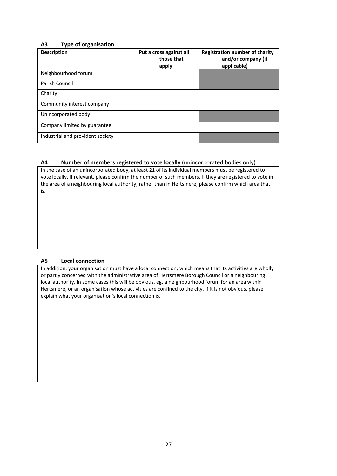#### **A3 Type of organisation**

| <b>Description</b>               | Put a cross against all<br>those that<br>apply | <b>Registration number of charity</b><br>and/or company (if<br>applicable) |
|----------------------------------|------------------------------------------------|----------------------------------------------------------------------------|
| Neighbourhood forum              |                                                |                                                                            |
| Parish Council                   |                                                |                                                                            |
| Charity                          |                                                |                                                                            |
| Community interest company       |                                                |                                                                            |
| Unincorporated body              |                                                |                                                                            |
| Company limited by guarantee     |                                                |                                                                            |
| Industrial and provident society |                                                |                                                                            |

#### **A4 Number of members registered to vote locally** (unincorporated bodies only)

In the case of an unincorporated body, at least 21 of its individual members must be registered to vote locally. If relevant, please confirm the number of such members. If they are registered to vote in the area of a neighbouring local authority, rather than in Hertsmere, please confirm which area that is.

#### **A5 Local connection**

In addition, your organisation must have a local connection, which means that its activities are wholly or partly concerned with the administrative area of Hertsmere Borough Council or a neighbouring local authority. In some cases this will be obvious, eg. a neighbourhood forum for an area within Hertsmere, or an organisation whose activities are confined to the city. If it is not obvious, please explain what your organisation's local connection is.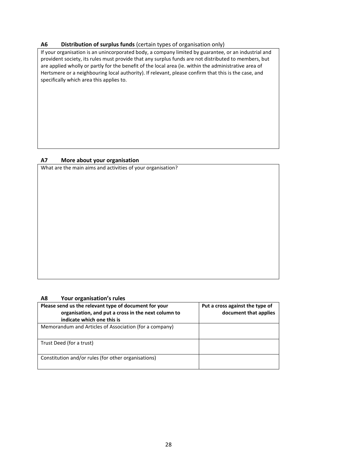#### **A6 Distribution of surplus funds** (certain types of organisation only)

If your organisation is an unincorporated body, a company limited by guarantee, or an industrial and provident society, its rules must provide that any surplus funds are not distributed to members, but are applied wholly or partly for the benefit of the local area (ie. within the administrative area of Hertsmere or a neighbouring local authority). If relevant, please confirm that this is the case, and specifically which area this applies to.

### **A7 More about your organisation**

What are the main aims and activities of your organisation?

#### **A8 Your organisation's rules**

| Please send us the relevant type of document for your<br>organisation, and put a cross in the next column to<br>indicate which one this is | Put a cross against the type of<br>document that applies |
|--------------------------------------------------------------------------------------------------------------------------------------------|----------------------------------------------------------|
| Memorandum and Articles of Association (for a company)                                                                                     |                                                          |
| Trust Deed (for a trust)                                                                                                                   |                                                          |
| Constitution and/or rules (for other organisations)                                                                                        |                                                          |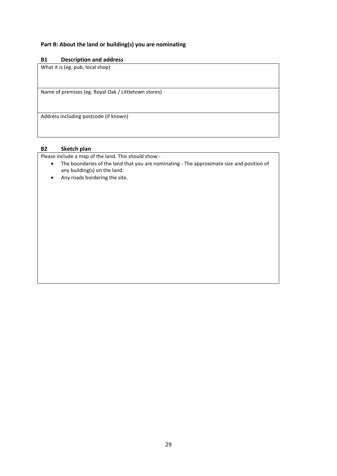#### **Part B: About the land or building(s) you are nominating**

#### **B1 Description and address**

What it is (eg. pub, local shop) Name of premises (eg. Royal Oak / Littletown stores) Address including postcode (if known)

#### **B2 Sketch plan**

Please include a map of the land. This should show:-

- The boundaries of the land that you are nominating The approximate size and position of any building(s) on the land.
- Any roads bordering the site.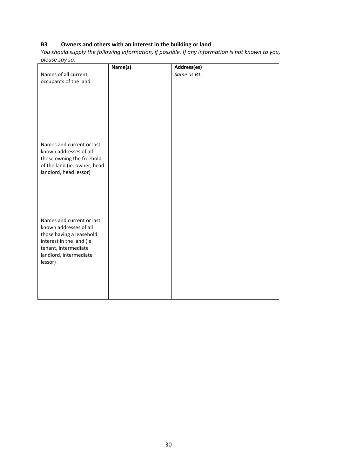## **B3 Owners and others with an interest in the building or land**

*You should supply the following information, if possible. If any information is not known to you, please say so.*

|                                                | Name(s) | Address(es) |
|------------------------------------------------|---------|-------------|
| Names of all current                           |         | Same as B1. |
| occupants of the land                          |         |             |
|                                                |         |             |
|                                                |         |             |
|                                                |         |             |
|                                                |         |             |
|                                                |         |             |
|                                                |         |             |
|                                                |         |             |
| Names and current or last                      |         |             |
| known addresses of all                         |         |             |
| those owning the freehold                      |         |             |
| of the land (ie. owner, head                   |         |             |
| landlord, head lessor)                         |         |             |
|                                                |         |             |
|                                                |         |             |
|                                                |         |             |
|                                                |         |             |
|                                                |         |             |
| Names and current or last                      |         |             |
| known addresses of all                         |         |             |
| those having a leasehold                       |         |             |
| interest in the land (ie.                      |         |             |
| tenant, intermediate<br>landlord, intermediate |         |             |
| lessor)                                        |         |             |
|                                                |         |             |
|                                                |         |             |
|                                                |         |             |
|                                                |         |             |
|                                                |         |             |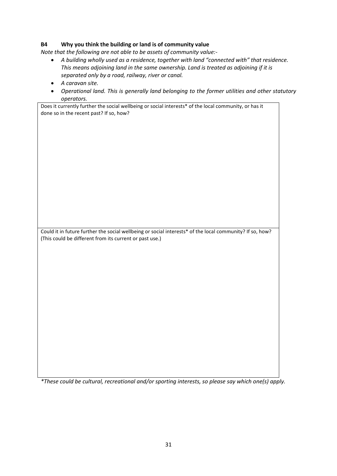#### **B4 Why you think the building or land is of community value**

*Note that the following are not able to be assets of community value:-*

- *A building wholly used as a residence, together with land "connected with" that residence. This means adjoining land in the same ownership. Land is treated as adjoining if it is separated only by a road, railway, river or canal.*
- *A caravan site.*
- *Operational land. This is generally land belonging to the former utilities and other statutory operators.*

Does it currently further the social wellbeing or social interests\* of the local community, or has it done so in the recent past? If so, how?

Could it in future further the social wellbeing or social interests\* of the local community? If so, how? (This could be different from its current or past use.)

*\*These could be cultural, recreational and/or sporting interests, so please say which one(s) apply.*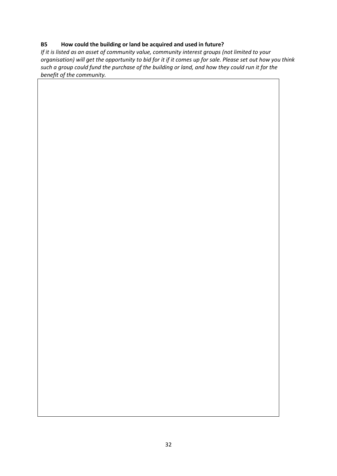## **B5 How could the building or land be acquired and used in future?**

*If it is listed as an asset of community value, community interest groups (not limited to your organisation) will get the opportunity to bid for it if it comes up for sale. Please set out how you think such a group could fund the purchase of the building or land, and how they could run it for the benefit of the community.*